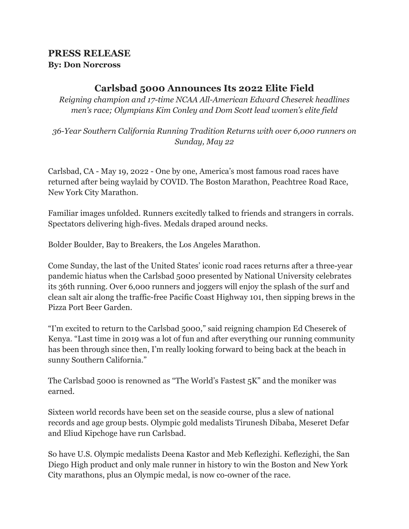# **PRESS RELEASE By: Don Norcross**

# **Carlsbad 5000 Announces Its 2022 Elite Field**

*Reigning champion and 17-time NCAA All-American Edward Cheserek headlines men's race; Olympians Kim Conley and Dom Scott lead women's elite field*

*36-Year Southern California Running Tradition Returns with over 6,000 runners on Sunday, May 22*

Carlsbad, CA - May 19, 2022 - One by one, America's most famous road races have returned after being waylaid by COVID. The Boston Marathon, Peachtree Road Race, New York City Marathon.

Familiar images unfolded. Runners excitedly talked to friends and strangers in corrals. Spectators delivering high-fives. Medals draped around necks.

Bolder Boulder, Bay to Breakers, the Los Angeles Marathon.

Come Sunday, the last of the United States' iconic road races returns after a three-year pandemic hiatus when the Carlsbad 5000 presented by National University celebrates its 36th running. Over 6,000 runners and joggers will enjoy the splash of the surf and clean salt air along the traffic-free Pacific Coast Highway 101, then sipping brews in the Pizza Port Beer Garden.

"I'm excited to return to the Carlsbad 5000," said reigning champion Ed Cheserek of Kenya. "Last time in 2019 was a lot of fun and after everything our running community has been through since then, I'm really looking forward to being back at the beach in sunny Southern California."

The Carlsbad 5000 is renowned as "The World's Fastest 5K" and the moniker was earned.

Sixteen world records have been set on the seaside course, plus a slew of national records and age group bests. Olympic gold medalists Tirunesh Dibaba, Meseret Defar and Eliud Kipchoge have run Carlsbad.

So have U.S. Olympic medalists Deena Kastor and Meb Keflezighi. Keflezighi, the San Diego High product and only male runner in history to win the Boston and New York City marathons, plus an Olympic medal, is now co-owner of the race.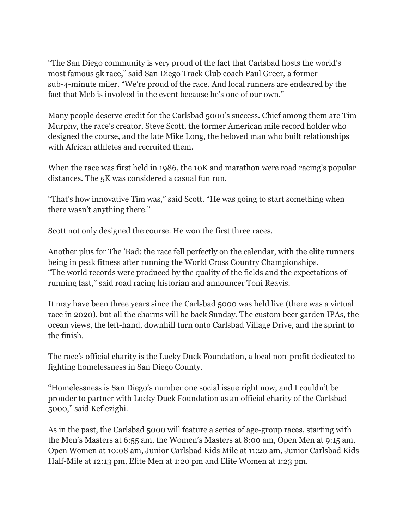"The San Diego community is very proud of the fact that Carlsbad hosts the world's most famous 5k race," said San Diego Track Club coach Paul Greer, a former sub-4-minute miler. "We're proud of the race. And local runners are endeared by the fact that Meb is involved in the event because he's one of our own."

Many people deserve credit for the Carlsbad 5000's success. Chief among them are Tim Murphy, the race's creator, Steve Scott, the former American mile record holder who designed the course, and the late Mike Long, the beloved man who built relationships with African athletes and recruited them.

When the race was first held in 1986, the 10K and marathon were road racing's popular distances. The 5K was considered a casual fun run.

"That's how innovative Tim was," said Scott. "He was going to start something when there wasn't anything there."

Scott not only designed the course. He won the first three races.

Another plus for The 'Bad: the race fell perfectly on the calendar, with the elite runners being in peak fitness after running the World Cross Country Championships. "The world records were produced by the quality of the fields and the expectations of running fast," said road racing historian and announcer Toni Reavis.

It may have been three years since the Carlsbad 5000 was held live (there was a virtual race in 2020), but all the charms will be back Sunday. The custom beer garden IPAs, the ocean views, the left-hand, downhill turn onto Carlsbad Village Drive, and the sprint to the finish.

The race's official charity is the Lucky Duck Foundation, a local non-profit dedicated to fighting homelessness in San Diego County.

"Homelessness is San Diego's number one social issue right now, and I couldn't be prouder to partner with Lucky Duck Foundation as an official charity of the Carlsbad 5000," said Keflezighi.

As in the past, the Carlsbad 5000 will feature a series of age-group races, starting with the Men's Masters at 6:55 am, the Women's Masters at 8:00 am, Open Men at 9:15 am, Open Women at 10:08 am, Junior Carlsbad Kids Mile at 11:20 am, Junior Carlsbad Kids Half-Mile at 12:13 pm, Elite Men at 1:20 pm and Elite Women at 1:23 pm.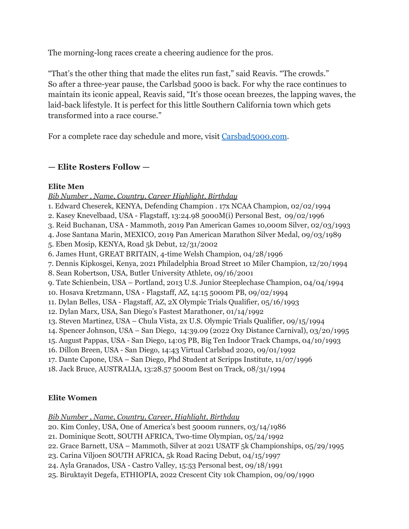The morning-long races create a cheering audience for the pros.

"That's the other thing that made the elites run fast," said Reavis. "The crowds." So after a three-year pause, the Carlsbad 5000 is back. For why the race continues to maintain its iconic appeal, Reavis said, "It's those ocean breezes, the lapping waves, the laid-back lifestyle. It is perfect for this little Southern California town which gets transformed into a race course."

For a complete race day schedule and more, visit [Carsbad5000.com.](http://carsbad5000.com/)

# **— Elite Rosters Follow —**

### **Elite Men**

*Bib Number , Name, Country, Career Highlight, Birthday*

- 1. Edward Cheserek, KENYA, Defending Champion . 17x NCAA Champion, 02/02/1994
- 2. Kasey Knevelbaad, USA Flagstaff, 13:24.98 5000M(i) Personal Best, 09/02/1996
- 3. Reid Buchanan, USA Mammoth, 2019 Pan American Games 10,000m Silver, 02/03/1993
- 4. Jose Santana Marin, MEXICO, 2019 Pan American Marathon Silver Medal, 09/03/1989
- 5. Eben Mosip, KENYA, Road 5k Debut, 12/31/2002
- 6. James Hunt, GREAT BRITAIN, 4-time Welsh Champion, 04/28/1996
- 7. Dennis Kipkosgei, Kenya, 2021 Philadelphia Broad Street 10 Miler Champion, 12/20/1994
- 8. Sean Robertson, USA, Butler University Athlete, 09/16/2001
- 9. Tate Schienbein, USA Portland, 2013 U.S. Junior Steeplechase Champion, 04/04/1994
- 10. Hosava Kretzmann, USA Flagstaff, AZ, 14:15 5000m PB, 09/02/1994
- 11. Dylan Belles, USA Flagstaff, AZ, 2X Olympic Trials Qualifier, 05/16/1993
- 12. Dylan Marx, USA, San Diego's Fastest Marathoner, 01/14/1992
- 13. Steven Martinez, USA Chula Vista, 2x U.S. Olympic Trials Qualifier, 09/15/1994
- 14. Spencer Johnson, USA San Diego, 14:39.09 (2022 Oxy Distance Carnival), 03/20/1995
- 15. August Pappas, USA San Diego, 14:05 PB, Big Ten Indoor Track Champs, 04/10/1993
- 16. Dillon Breen, USA San Diego, 14:43 Virtual Carlsbad 2020, 09/01/1992
- 17. Dante Capone, USA San Diego, Phd Student at Scripps Institute, 11/07/1996
- 18. Jack Bruce, AUSTRALIA, 13:28.57 5000m Best on Track, 08/31/1994

# **Elite Women**

*Bib Number , Name, Country, Career, Highlight, Birthday*

- 20. Kim Conley, USA, One of America's best 5000m runners, 03/14/1986
- 21. Dominique Scott, SOUTH AFRICA, Two-time Olympian, 05/24/1992
- 22. Grace Barnett, USA Mammoth, Silver at 2021 USATF 5k Championships, 05/29/1995
- 23. Carina Viljoen SOUTH AFRICA, 5k Road Racing Debut, 04/15/1997
- 24. Ayla Granados, USA Castro Valley, 15:53 Personal best, 09/18/1991
- 25. Biruktayit Degefa, ETHIOPIA, 2022 Crescent City 10k Champion, 09/09/1990